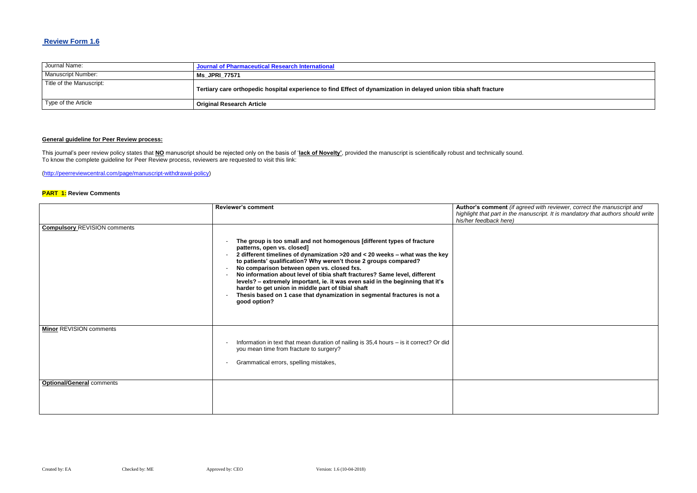## **Review Form 1.6**

| Journal Name:            | Journal of Pharmaceutical Research International                                                                  |
|--------------------------|-------------------------------------------------------------------------------------------------------------------|
| Manuscript Number:       | <b>Ms JPRI 77571</b>                                                                                              |
| Title of the Manuscript: | Tertiary care orthopedic hospital experience to find Effect of dynamization in delayed union tibia shaft fracture |
| Type of the Article      | <sup>1</sup> Original Research Article                                                                            |

#### **General guideline for Peer Review process:**

 $\epsilon$  *Reviewer, correct the manuscript and highlight that part in the manuscript. It is mandatory that authors should write* 

This journal's peer review policy states that **NO** manuscript should be rejected only on the basis of '**lack of Novelty'**, provided the manuscript is scientifically robust and technically sound. To know the complete guideline for Peer Review process, reviewers are requested to visit this link:

[\(http://peerreviewcentral.com/page/manuscript-withdrawal-policy\)](http://peerreviewcentral.com/page/manuscript-withdrawal-policy)

#### **PART 1: Review Comments**

|                                                                    | <b>Reviewer's comment</b>                                                                                                                                                                                                                                                                                                                                                                                                                                                                                                                                                                                                | Author's comment (if agree<br>highlight that part in the ma<br>his/her feedback here) |
|--------------------------------------------------------------------|--------------------------------------------------------------------------------------------------------------------------------------------------------------------------------------------------------------------------------------------------------------------------------------------------------------------------------------------------------------------------------------------------------------------------------------------------------------------------------------------------------------------------------------------------------------------------------------------------------------------------|---------------------------------------------------------------------------------------|
| <b>Compulsory REVISION comments</b>                                | The group is too small and not homogenous [different types of fracture<br>patterns, open vs. closed]<br>2 different timelines of dynamization > 20 and < 20 weeks - what was the key<br>to patients' qualification? Why weren't those 2 groups compared?<br>No comparison between open vs. closed fxs.<br>No information about level of tibia shaft fractures? Same level, different<br>levels? - extremely important, ie. it was even said in the beginning that it's<br>harder to get union in middle part of tibial shaft<br>Thesis based on 1 case that dynamization in segmental fractures is not a<br>good option? |                                                                                       |
| <b>Minor REVISION comments</b><br><b>Optional/General comments</b> | Information in text that mean duration of nailing is 35,4 hours - is it correct? Or did<br>you mean time from fracture to surgery?<br>Grammatical errors, spelling mistakes,                                                                                                                                                                                                                                                                                                                                                                                                                                             |                                                                                       |
|                                                                    |                                                                                                                                                                                                                                                                                                                                                                                                                                                                                                                                                                                                                          |                                                                                       |